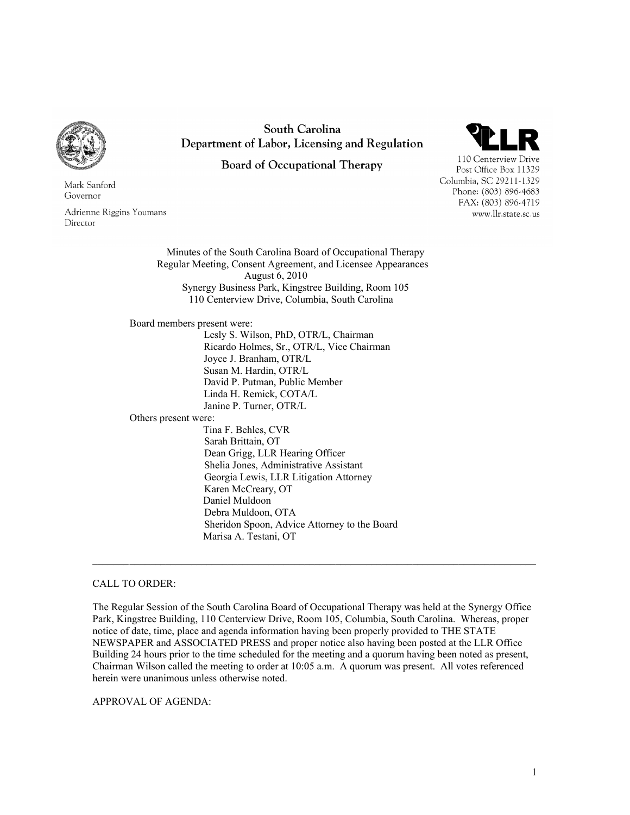

Mark Sanford Governor

Adrienne Riggins Youmans Director

South Carolina Department of Labor, Licensing and Regulation

**Board of Occupational Therapy** 



110 Centerview Drive Post Office Box 11329 Columbia, SC 29211-1329 Phone: (803) 896-4683 FAX: (803) 896-4719 www.llr.state.sc.us

Minutes of the South Carolina Board of Occupational Therapy Regular Meeting, Consent Agreement, and Licensee Appearances August 6, 2010 Synergy Business Park, Kingstree Building, Room 105 110 Centerview Drive, Columbia, South Carolina

Board members present were:

 Lesly S. Wilson, PhD, OTR/L, Chairman Ricardo Holmes, Sr., OTR/L, Vice Chairman Joyce J. Branham, OTR/L Susan M. Hardin, OTR/L David P. Putman, Public Member Linda H. Remick, COTA/L Janine P. Turner, OTR/L

Others present were:

 Tina F. Behles, CVR Sarah Brittain, OT Dean Grigg, LLR Hearing Officer Shelia Jones, Administrative Assistant Georgia Lewis, LLR Litigation Attorney Karen McCreary, OT Daniel Muldoon Debra Muldoon, OTA Sheridon Spoon, Advice Attorney to the Board Marisa A. Testani, OT

## CALL TO ORDER:

The Regular Session of the South Carolina Board of Occupational Therapy was held at the Synergy Office Park, Kingstree Building, 110 Centerview Drive, Room 105, Columbia, South Carolina. Whereas, proper notice of date, time, place and agenda information having been properly provided to THE STATE NEWSPAPER and ASSOCIATED PRESS and proper notice also having been posted at the LLR Office Building 24 hours prior to the time scheduled for the meeting and a quorum having been noted as present, Chairman Wilson called the meeting to order at 10:05 a.m. A quorum was present. All votes referenced herein were unanimous unless otherwise noted.

**\_\_\_\_\_\_\_ \_\_\_\_\_\_\_\_\_\_\_\_\_\_\_\_\_\_\_\_\_\_\_\_\_\_\_\_\_\_\_\_\_\_\_\_\_\_\_\_\_\_\_\_\_\_\_\_\_\_\_\_\_\_\_\_\_\_\_\_\_\_\_\_\_\_\_\_\_\_\_\_\_\_\_\_\_\_\_** 

APPROVAL OF AGENDA: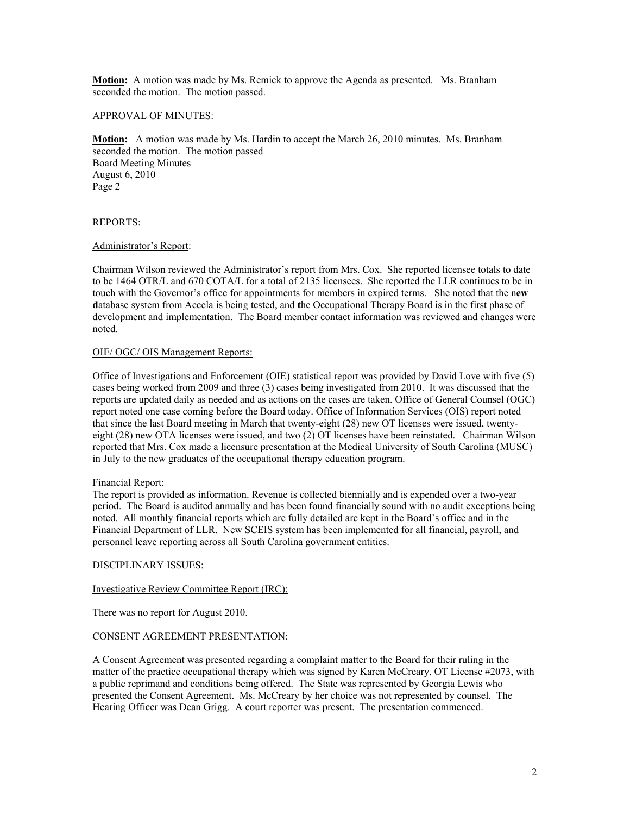**Motion:** A motion was made by Ms. Remick to approve the Agenda as presented. Ms. Branham seconded the motion. The motion passed.

### APPROVAL OF MINUTES:

**Motion:** A motion was made by Ms. Hardin to accept the March 26, 2010 minutes. Ms. Branham seconded the motion. The motion passed Board Meeting Minutes August 6, 2010 Page 2

### REPORTS:

#### Administrator's Report:

Chairman Wilson reviewed the Administrator's report from Mrs. Cox. She reported licensee totals to date to be 1464 OTR/L and 670 COTA/L for a total of 2135 licensees. She reported the LLR continues to be in touch with the Governor's office for appointments for members in expired terms. She noted that the n**ew d**atabase system from Accela is being tested, and **t**he Occupational Therapy Board is in the first phase of development and implementation. The Board member contact information was reviewed and changes were noted.

#### OIE/ OGC/ OIS Management Reports:

Office of Investigations and Enforcement (OIE) statistical report was provided by David Love with five (5) cases being worked from 2009 and three (3) cases being investigated from 2010. It was discussed that the reports are updated daily as needed and as actions on the cases are taken. Office of General Counsel (OGC) report noted one case coming before the Board today. Office of Information Services (OIS) report noted that since the last Board meeting in March that twenty-eight (28) new OT licenses were issued, twentyeight (28) new OTA licenses were issued, and two (2) OT licenses have been reinstated. Chairman Wilson reported that Mrs. Cox made a licensure presentation at the Medical University of South Carolina (MUSC) in July to the new graduates of the occupational therapy education program.

#### Financial Report:

The report is provided as information. Revenue is collected biennially and is expended over a two-year period. The Board is audited annually and has been found financially sound with no audit exceptions being noted. All monthly financial reports which are fully detailed are kept in the Board's office and in the Financial Department of LLR. New SCEIS system has been implemented for all financial, payroll, and personnel leave reporting across all South Carolina government entities.

#### DISCIPLINARY ISSUES:

# Investigative Review Committee Report (IRC):

There was no report for August 2010.

# CONSENT AGREEMENT PRESENTATION:

A Consent Agreement was presented regarding a complaint matter to the Board for their ruling in the matter of the practice occupational therapy which was signed by Karen McCreary, OT License #2073, with a public reprimand and conditions being offered. The State was represented by Georgia Lewis who presented the Consent Agreement. Ms. McCreary by her choice was not represented by counsel. The Hearing Officer was Dean Grigg. A court reporter was present. The presentation commenced.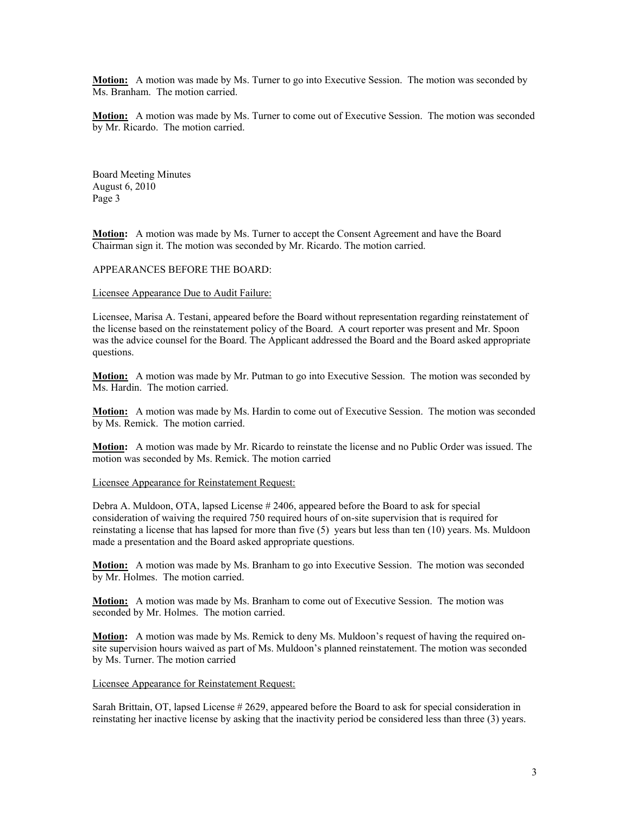**Motion:** A motion was made by Ms. Turner to go into Executive Session. The motion was seconded by Ms. Branham. The motion carried.

**Motion:** A motion was made by Ms. Turner to come out of Executive Session. The motion was seconded by Mr. Ricardo. The motion carried.

Board Meeting Minutes August 6, 2010 Page 3

**Motion:** A motion was made by Ms. Turner to accept the Consent Agreement and have the Board Chairman sign it. The motion was seconded by Mr. Ricardo. The motion carried.

APPEARANCES BEFORE THE BOARD:

Licensee Appearance Due to Audit Failure:

Licensee, Marisa A. Testani, appeared before the Board without representation regarding reinstatement of the license based on the reinstatement policy of the Board. A court reporter was present and Mr. Spoon was the advice counsel for the Board. The Applicant addressed the Board and the Board asked appropriate questions.

**Motion:** A motion was made by Mr. Putman to go into Executive Session. The motion was seconded by Ms. Hardin. The motion carried.

**Motion:** A motion was made by Ms. Hardin to come out of Executive Session. The motion was seconded by Ms. Remick. The motion carried.

**Motion:** A motion was made by Mr. Ricardo to reinstate the license and no Public Order was issued. The motion was seconded by Ms. Remick. The motion carried

Licensee Appearance for Reinstatement Request:

Debra A. Muldoon, OTA, lapsed License # 2406, appeared before the Board to ask for special consideration of waiving the required 750 required hours of on-site supervision that is required for reinstating a license that has lapsed for more than five (5) years but less than ten (10) years. Ms. Muldoon made a presentation and the Board asked appropriate questions.

**Motion:** A motion was made by Ms. Branham to go into Executive Session. The motion was seconded by Mr. Holmes. The motion carried.

**Motion:** A motion was made by Ms. Branham to come out of Executive Session. The motion was seconded by Mr. Holmes. The motion carried.

**Motion:** A motion was made by Ms. Remick to deny Ms. Muldoon's request of having the required onsite supervision hours waived as part of Ms. Muldoon's planned reinstatement. The motion was seconded by Ms. Turner. The motion carried

Licensee Appearance for Reinstatement Request:

Sarah Brittain, OT, lapsed License # 2629, appeared before the Board to ask for special consideration in reinstating her inactive license by asking that the inactivity period be considered less than three (3) years.